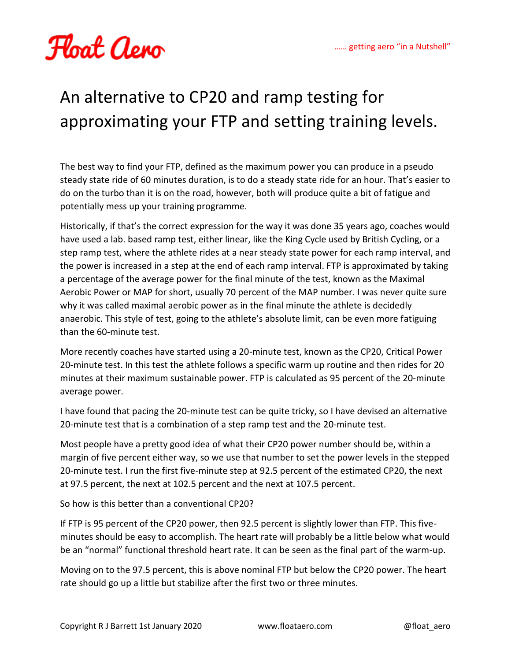

## An alternative to CP20 and ramp testing for approximating your FTP and setting training levels.

The best way to find your FTP, defined as the maximum power you can produce in a pseudo steady state ride of 60 minutes duration, is to do a steady state ride for an hour. That's easier to do on the turbo than it is on the road, however, both will produce quite a bit of fatigue and potentially mess up your training programme.

Historically, if that's the correct expression for the way it was done 35 years ago, coaches would have used a lab. based ramp test, either linear, like the King Cycle used by British Cycling, or a step ramp test, where the athlete rides at a near steady state power for each ramp interval, and the power is increased in a step at the end of each ramp interval. FTP is approximated by taking a percentage of the average power for the final minute of the test, known as the Maximal Aerobic Power or MAP for short, usually 70 percent of the MAP number. I was never quite sure why it was called maximal aerobic power as in the final minute the athlete is decidedly anaerobic. This style of test, going to the athlete's absolute limit, can be even more fatiguing than the 60-minute test.

More recently coaches have started using a 20-minute test, known as the CP20, Critical Power 20-minute test. In this test the athlete follows a specific warm up routine and then rides for 20 minutes at their maximum sustainable power. FTP is calculated as 95 percent of the 20-minute average power.

I have found that pacing the 20-minute test can be quite tricky, so I have devised an alternative 20-minute test that is a combination of a step ramp test and the 20-minute test.

Most people have a pretty good idea of what their CP20 power number should be, within a margin of five percent either way, so we use that number to set the power levels in the stepped 20-minute test. I run the first five-minute step at 92.5 percent of the estimated CP20, the next at 97.5 percent, the next at 102.5 percent and the next at 107.5 percent.

So how is this better than a conventional CP20?

If FTP is 95 percent of the CP20 power, then 92.5 percent is slightly lower than FTP. This fiveminutes should be easy to accomplish. The heart rate will probably be a little below what would be an "normal" functional threshold heart rate. It can be seen as the final part of the warm-up.

Moving on to the 97.5 percent, this is above nominal FTP but below the CP20 power. The heart rate should go up a little but stabilize after the first two or three minutes.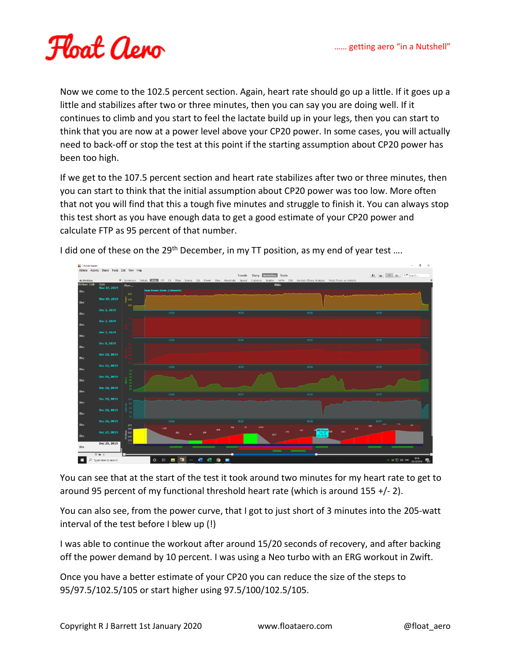

Now we come to the 102.5 percent section. Again, heart rate should go up a little. If it goes up a little and stabilizes after two or three minutes, then you can say you are doing well. If it continues to climb and you start to feel the lactate build up in your legs, then you can start to think that you are now at a power level above your CP20 power. In some cases, you will actually need to back-off or stop the test at this point if the starting assumption about CP20 power has been too high.

If we get to the 107.5 percent section and heart rate stabilizes after two or three minutes, then you can start to think that the initial assumption about CP20 power was too low. More often that not you will find that this a tough five minutes and struggle to finish it. You can always stop this test short as you have enough data to get a good estimate of your CP20 power and calculate FTP as 95 percent of that number.



I did one of these on the 29<sup>th</sup> December, in my TT position, as my end of year test ....

You can see that at the start of the test it took around two minutes for my heart rate to get to around 95 percent of my functional threshold heart rate (which is around 155 +/- 2).

You can also see, from the power curve, that I got to just short of 3 minutes into the 205-watt interval of the test before I blew up (!)

I was able to continue the workout after around 15/20 seconds of recovery, and after backing off the power demand by 10 percent. I was using a Neo turbo with an ERG workout in Zwift.

Once you have a better estimate of your CP20 you can reduce the size of the steps to 95/97.5/102.5/105 or start higher using 97.5/100/102.5/105.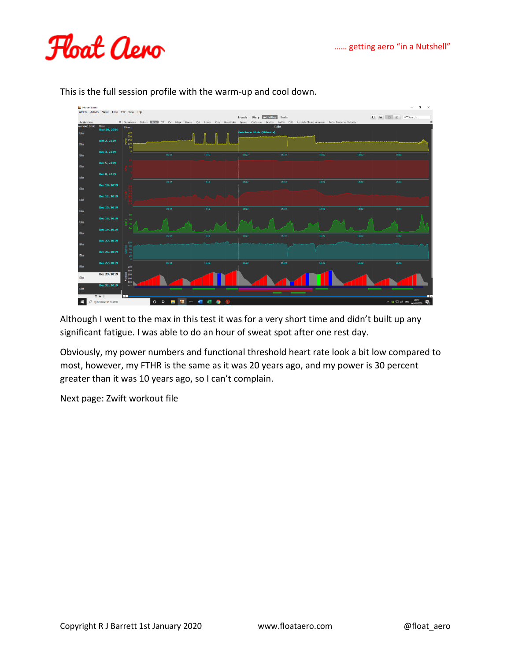



This is the full session profile with the warm-up and cool down.

Although I went to the max in this test it was for a very short time and didn't built up any significant fatigue. I was able to do an hour of sweat spot after one rest day.

Obviously, my power numbers and functional threshold heart rate look a bit low compared to most, however, my FTHR is the same as it was 20 years ago, and my power is 30 percent greater than it was 10 years ago, so I can't complain.

Next page: Zwift workout file